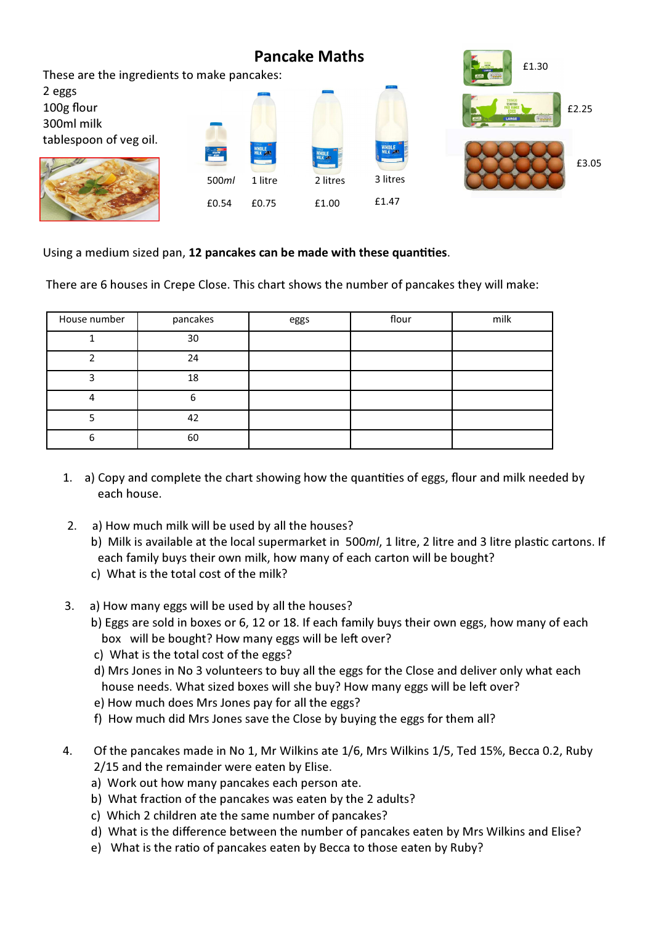

Using a medium sized pan, 12 pancakes can be made with these quantities.

There are 6 houses in Crepe Close. This chart shows the number of pancakes they will make:

| House number | pancakes | eggs | flour | milk |
|--------------|----------|------|-------|------|
|              | 30       |      |       |      |
|              | 24       |      |       |      |
| ∍            | 18       |      |       |      |
|              | n        |      |       |      |
|              | 42       |      |       |      |
|              | 60       |      |       |      |

- 1. a) Copy and complete the chart showing how the quantities of eggs, flour and milk needed by each house.
- 2. a) How much milk will be used by all the houses?
	- b) Milk is available at the local supermarket in 500 $ml$ , 1 litre, 2 litre and 3 litre plastic cartons. If each family buys their own milk, how many of each carton will be bought?
	- c) What is the total cost of the milk?
- 3. a) How many eggs will be used by all the houses?
	- b) Eggs are sold in boxes or 6, 12 or 18. If each family buys their own eggs, how many of each box will be bought? How many eggs will be left over?
	- c) What is the total cost of the eggs?
	- d) Mrs Jones in No 3 volunteers to buy all the eggs for the Close and deliver only what each house needs. What sized boxes will she buy? How many eggs will be left over?
	- e) How much does Mrs Jones pay for all the eggs?
	- f) How much did Mrs Jones save the Close by buying the eggs for them all?
- 4. Of the pancakes made in No 1, Mr Wilkins ate 1/6, Mrs Wilkins 1/5, Ted 15%, Becca 0.2, Ruby 2/15 and the remainder were eaten by Elise.
	- a) Work out how many pancakes each person ate.
	- b) What fraction of the pancakes was eaten by the 2 adults?
	- c) Which 2 children ate the same number of pancakes?
	- d) What is the difference between the number of pancakes eaten by Mrs Wilkins and Elise?
	- e) What is the ratio of pancakes eaten by Becca to those eaten by Ruby?